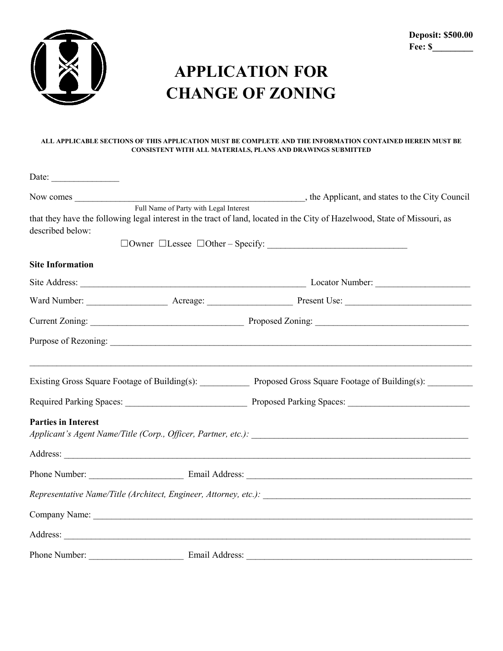

## **APPLICATION FOR CHANGE OF ZONING**

## **ALL APPLICABLE SECTIONS OF THIS APPLICATION MUST BE COMPLETE AND THE INFORMATION CONTAINED HEREIN MUST BE CONSISTENT WITH ALL MATERIALS, PLANS AND DRAWINGS SUBMITTED**

| Date:                      |                                        |                                                                                                                           |
|----------------------------|----------------------------------------|---------------------------------------------------------------------------------------------------------------------------|
|                            |                                        | , the Applicant, and states to the City Council                                                                           |
|                            | Full Name of Party with Legal Interest |                                                                                                                           |
| described below:           |                                        | that they have the following legal interest in the tract of land, located in the City of Hazelwood, State of Missouri, as |
|                            |                                        |                                                                                                                           |
| <b>Site Information</b>    |                                        |                                                                                                                           |
|                            |                                        |                                                                                                                           |
|                            |                                        |                                                                                                                           |
|                            |                                        |                                                                                                                           |
|                            |                                        |                                                                                                                           |
|                            |                                        | Existing Gross Square Footage of Building(s): Proposed Gross Square Footage of Building(s):                               |
|                            |                                        |                                                                                                                           |
| <b>Parties in Interest</b> |                                        |                                                                                                                           |
|                            |                                        |                                                                                                                           |
|                            |                                        |                                                                                                                           |
|                            |                                        |                                                                                                                           |
|                            |                                        |                                                                                                                           |
|                            |                                        |                                                                                                                           |
| Phone Number:              | Email Address:                         |                                                                                                                           |